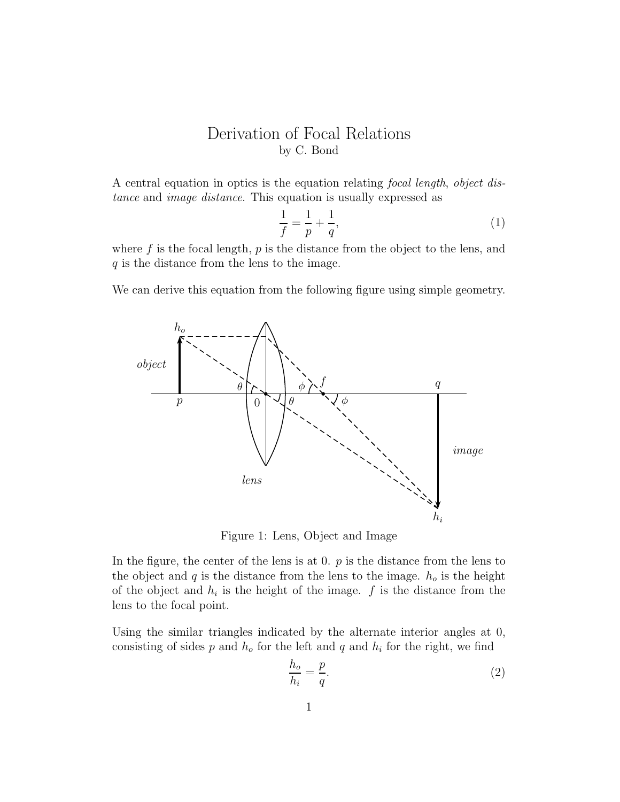## Derivation of Focal Relations by C. Bond

A central equation in optics is the equation relating focal length, object distance and image distance. This equation is usually expressed as

$$
\frac{1}{f} = \frac{1}{p} + \frac{1}{q},\tag{1}
$$

where  $f$  is the focal length,  $p$  is the distance from the object to the lens, and q is the distance from the lens to the image.

We can derive this equation from the following figure using simple geometry.



Figure 1: Lens, Object and Image

In the figure, the center of the lens is at 0.  $p$  is the distance from the lens to the object and q is the distance from the lens to the image.  $h_o$  is the height of the object and  $h_i$  is the height of the image.  $f$  is the distance from the lens to the focal point.

Using the similar triangles indicated by the alternate interior angles at 0, consisting of sides  $p$  and  $h<sub>o</sub>$  for the left and  $q$  and  $h<sub>i</sub>$  for the right, we find

$$
\frac{h_o}{h_i} = \frac{p}{q}.\tag{2}
$$